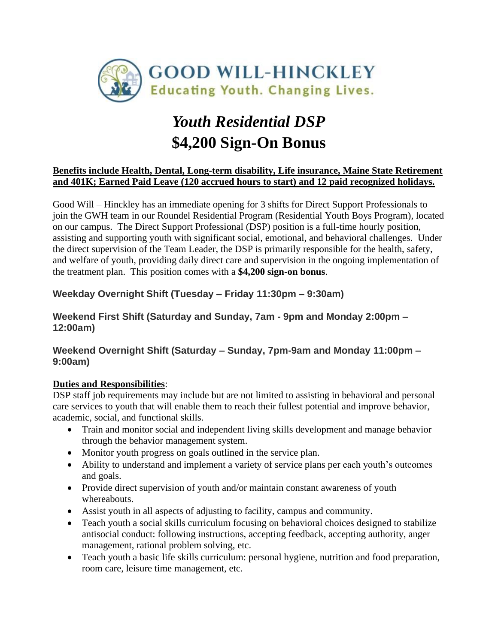

# *Youth Residential DSP* **\$4,200 Sign-On Bonus**

#### **Benefits include Health, Dental, Long-term disability, Life insurance, Maine State Retirement and 401K; Earned Paid Leave (120 accrued hours to start) and 12 paid recognized holidays.**

Good Will – Hinckley has an immediate opening for 3 shifts for Direct Support Professionals to join the GWH team in our Roundel Residential Program (Residential Youth Boys Program), located on our campus. The Direct Support Professional (DSP) position is a full-time hourly position, assisting and supporting youth with significant social, emotional, and behavioral challenges. Under the direct supervision of the Team Leader, the DSP is primarily responsible for the health, safety, and welfare of youth, providing daily direct care and supervision in the ongoing implementation of the treatment plan. This position comes with a **\$4,200 sign-on bonus**.

# **Weekday Overnight Shift (Tuesday – Friday 11:30pm – 9:30am)**

# **Weekend First Shift (Saturday and Sunday, 7am - 9pm and Monday 2:00pm – 12:00am)**

#### **Weekend Overnight Shift (Saturday – Sunday, 7pm-9am and Monday 11:00pm – 9:00am)**

# **Duties and Responsibilities**:

DSP staff job requirements may include but are not limited to assisting in behavioral and personal care services to youth that will enable them to reach their fullest potential and improve behavior, academic, social, and functional skills.

- Train and monitor social and independent living skills development and manage behavior through the behavior management system.
- Monitor youth progress on goals outlined in the service plan.
- Ability to understand and implement a variety of service plans per each youth's outcomes and goals.
- Provide direct supervision of youth and/or maintain constant awareness of youth whereabouts.
- Assist youth in all aspects of adjusting to facility, campus and community.
- Teach youth a social skills curriculum focusing on behavioral choices designed to stabilize antisocial conduct: following instructions, accepting feedback, accepting authority, anger management, rational problem solving, etc.
- Teach youth a basic life skills curriculum: personal hygiene, nutrition and food preparation, room care, leisure time management, etc.